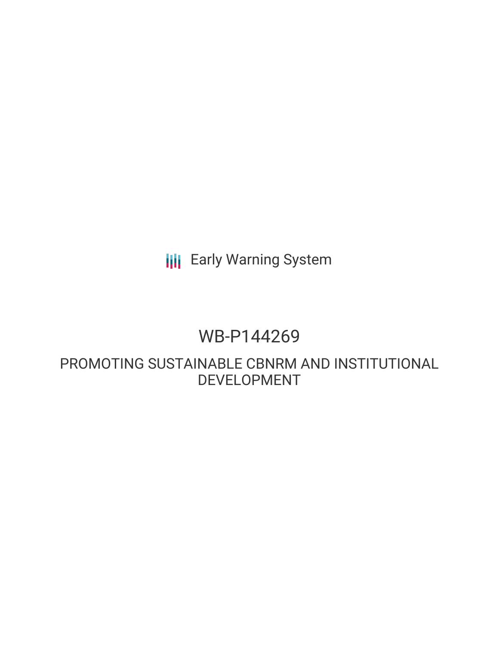# **III** Early Warning System

# WB-P144269

PROMOTING SUSTAINABLE CBNRM AND INSTITUTIONAL DEVELOPMENT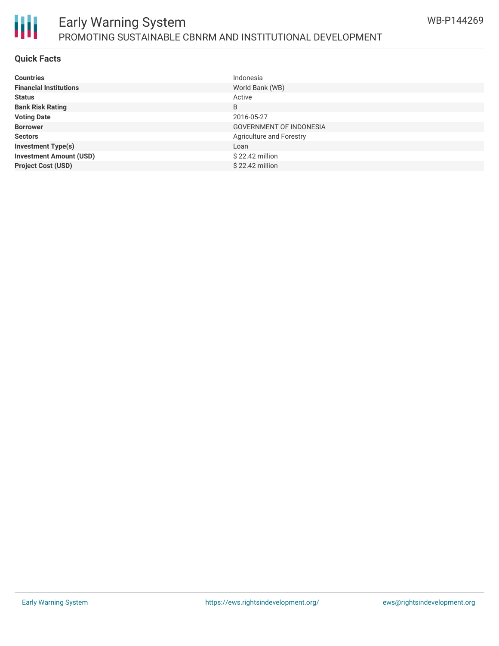

#### **Quick Facts**

冊

| <b>Countries</b>               | Indonesia                       |
|--------------------------------|---------------------------------|
| <b>Financial Institutions</b>  | World Bank (WB)                 |
| <b>Status</b>                  | Active                          |
| <b>Bank Risk Rating</b>        | B                               |
| <b>Voting Date</b>             | 2016-05-27                      |
| <b>Borrower</b>                | <b>GOVERNMENT OF INDONESIA</b>  |
| <b>Sectors</b>                 | <b>Agriculture and Forestry</b> |
| <b>Investment Type(s)</b>      | Loan                            |
| <b>Investment Amount (USD)</b> | $$22.42$ million                |
| <b>Project Cost (USD)</b>      | $$22.42$ million                |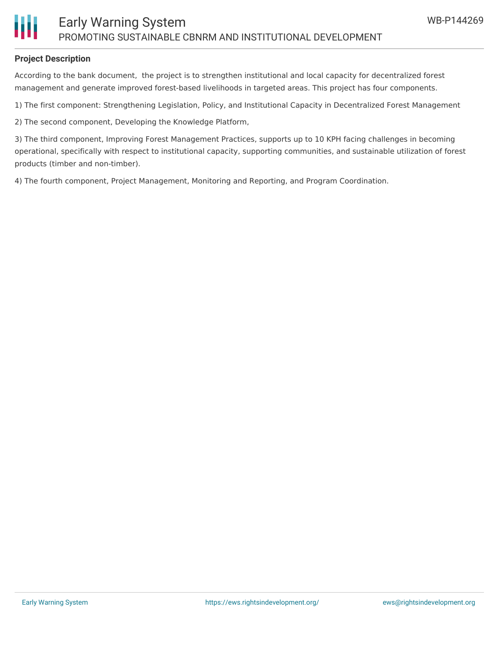### **Project Description**

According to the bank document, the project is to strengthen institutional and local capacity for decentralized forest management and generate improved forest-based livelihoods in targeted areas. This project has four components.

1) The first component: Strengthening Legislation, Policy, and Institutional Capacity in Decentralized Forest Management

2) The second component, Developing the Knowledge Platform,

3) The third component, Improving Forest Management Practices, supports up to 10 KPH facing challenges in becoming operational, specifically with respect to institutional capacity, supporting communities, and sustainable utilization of forest products (timber and non-timber).

4) The fourth component, Project Management, Monitoring and Reporting, and Program Coordination.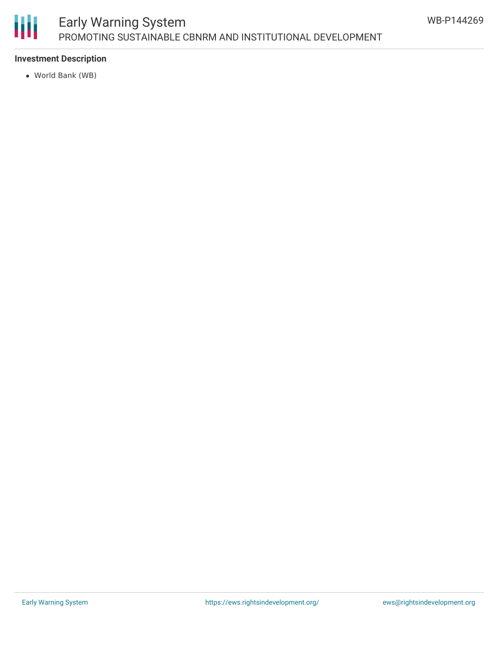

## Early Warning System PROMOTING SUSTAINABLE CBNRM AND INSTITUTIONAL DEVELOPMENT

### **Investment Description**

World Bank (WB)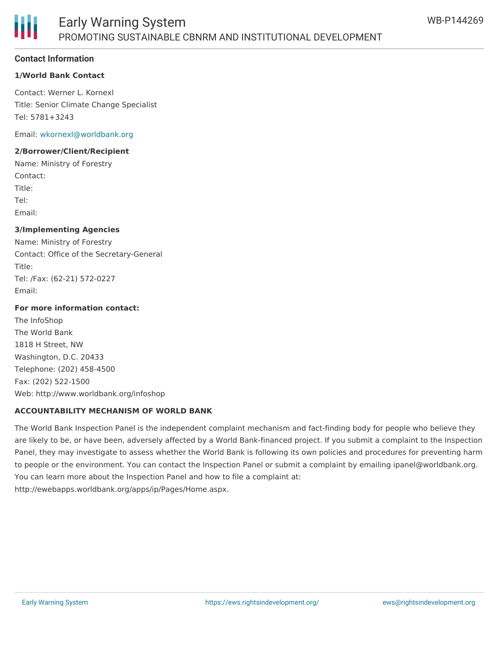#### **Contact Information**

#### **1/World Bank Contact**

Contact: Werner L. Kornexl Title: Senior Climate Change Specialist Tel: 5781+3243

Email: [wkornexl@worldbank.org](mailto:wkornexl@worldbank.org)

#### **2/Borrower/Client/Recipient**

Name: Ministry of Forestry Contact: Title: Tel: Email:

#### **3/Implementing Agencies**

Name: Ministry of Forestry Contact: Office of the Secretary-General Title: Tel: /Fax: (62-21) 572-0227 Email:

#### **For more information contact:**

The InfoShop The World Bank 1818 H Street, NW Washington, D.C. 20433 Telephone: (202) 458-4500 Fax: (202) 522-1500 Web: http://www.worldbank.org/infoshop

#### **ACCOUNTABILITY MECHANISM OF WORLD BANK**

The World Bank Inspection Panel is the independent complaint mechanism and fact-finding body for people who believe they are likely to be, or have been, adversely affected by a World Bank-financed project. If you submit a complaint to the Inspection Panel, they may investigate to assess whether the World Bank is following its own policies and procedures for preventing harm to people or the environment. You can contact the Inspection Panel or submit a complaint by emailing ipanel@worldbank.org. You can learn more about the Inspection Panel and how to file a complaint at: http://ewebapps.worldbank.org/apps/ip/Pages/Home.aspx.